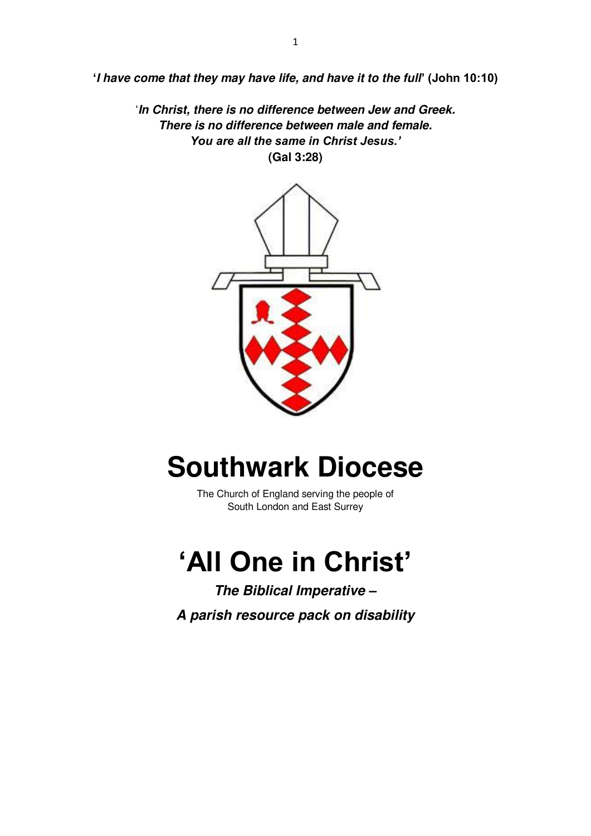**'***I have come that they may have life, and have it to the full***' (John 10:10)**

'*In Christ, there is no difference between Jew and Greek. There is no difference between male and female. You are all the same in Christ Jesus.'* **(Gal 3:28)**



# **Southwark Diocese**

The Church of England serving the people of South London and East Surrey

# **'All One in Christ'**

*The Biblical Imperative – A parish resource pack on disability*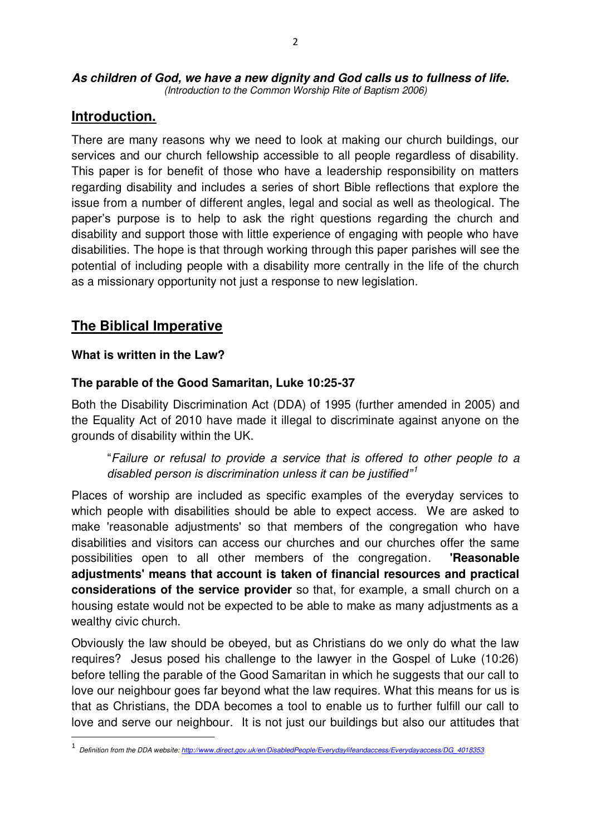*As children of God, we have a new dignity and God calls us to fullness of life. (Introduction to the Common Worship Rite of Baptism 2006)* 

## **Introduction.**

There are many reasons why we need to look at making our church buildings, our services and our church fellowship accessible to all people regardless of disability. This paper is for benefit of those who have a leadership responsibility on matters regarding disability and includes a series of short Bible reflections that explore the issue from a number of different angles, legal and social as well as theological. The paper's purpose is to help to ask the right questions regarding the church and disability and support those with little experience of engaging with people who have disabilities. The hope is that through working through this paper parishes will see the potential of including people with a disability more centrally in the life of the church as a missionary opportunity not just a response to new legislation.

## **The Biblical Imperative**

#### **What is written in the Law?**

## **The parable of the Good Samaritan, Luke 10:25-37**

Both the Disability Discrimination Act (DDA) of 1995 (further amended in 2005) and the Equality Act of 2010 have made it illegal to discriminate against anyone on the grounds of disability within the UK.

"*Failure or refusal to provide a service that is offered to other people to a disabled person is discrimination unless it can be justified"<sup>1</sup>*

Places of worship are included as specific examples of the everyday services to which people with disabilities should be able to expect access. We are asked to make 'reasonable adjustments' so that members of the congregation who have disabilities and visitors can access our churches and our churches offer the same possibilities open to all other members of the congregation. **'Reasonable adjustments' means that account is taken of financial resources and practical considerations of the service provider** so that, for example, a small church on a housing estate would not be expected to be able to make as many adjustments as a wealthy civic church.

Obviously the law should be obeyed, but as Christians do we only do what the law requires? Jesus posed his challenge to the lawyer in the Gospel of Luke (10:26) before telling the parable of the Good Samaritan in which he suggests that our call to love our neighbour goes far beyond what the law requires. What this means for us is that as Christians, the DDA becomes a tool to enable us to further fulfill our call to love and serve our neighbour. It is not just our buildings but also our attitudes that  $\overline{a}$ 

<sup>1</sup> *Definition from the DDA website[: http://www.direct.gov.uk/en/DisabledPeople/Everydaylifeandaccess/Everydayaccess/DG\\_4018353](http://www.direct.gov.uk/en/DisabledPeople/Everydaylifeandaccess/Everydayaccess/DG_4018353)*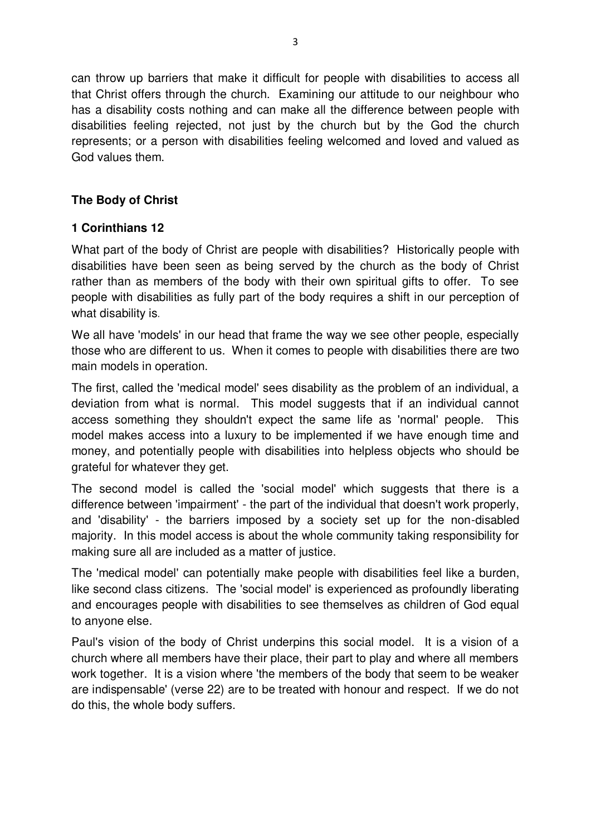can throw up barriers that make it difficult for people with disabilities to access all that Christ offers through the church. Examining our attitude to our neighbour who has a disability costs nothing and can make all the difference between people with disabilities feeling rejected, not just by the church but by the God the church represents; or a person with disabilities feeling welcomed and loved and valued as God values them.

## **The Body of Christ**

## **1 Corinthians 12**

What part of the body of Christ are people with disabilities? Historically people with disabilities have been seen as being served by the church as the body of Christ rather than as members of the body with their own spiritual gifts to offer. To see people with disabilities as fully part of the body requires a shift in our perception of what disability is.

We all have 'models' in our head that frame the way we see other people, especially those who are different to us. When it comes to people with disabilities there are two main models in operation.

The first, called the 'medical model' sees disability as the problem of an individual, a deviation from what is normal. This model suggests that if an individual cannot access something they shouldn't expect the same life as 'normal' people. This model makes access into a luxury to be implemented if we have enough time and money, and potentially people with disabilities into helpless objects who should be grateful for whatever they get.

The second model is called the 'social model' which suggests that there is a difference between 'impairment' - the part of the individual that doesn't work properly, and 'disability' - the barriers imposed by a society set up for the non-disabled majority. In this model access is about the whole community taking responsibility for making sure all are included as a matter of justice.

The 'medical model' can potentially make people with disabilities feel like a burden, like second class citizens. The 'social model' is experienced as profoundly liberating and encourages people with disabilities to see themselves as children of God equal to anyone else.

Paul's vision of the body of Christ underpins this social model. It is a vision of a church where all members have their place, their part to play and where all members work together. It is a vision where 'the members of the body that seem to be weaker are indispensable' (verse 22) are to be treated with honour and respect. If we do not do this, the whole body suffers.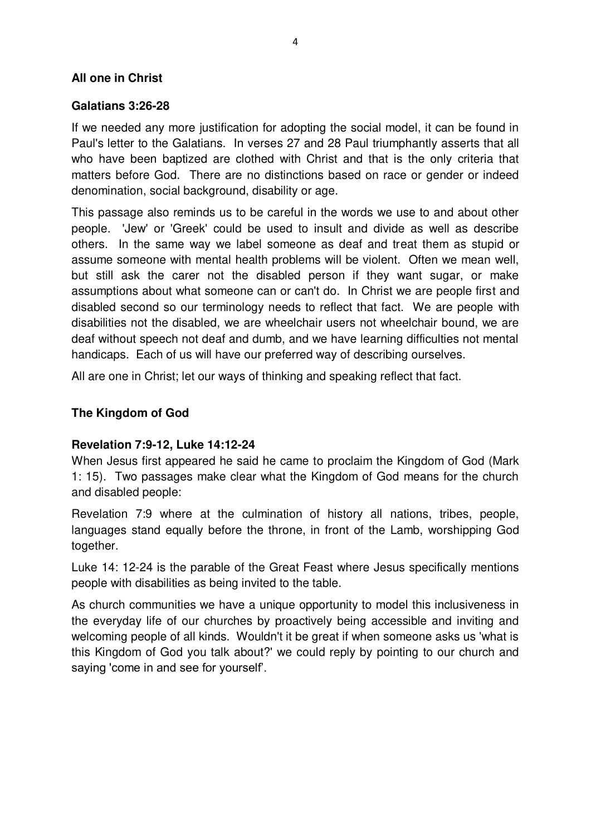#### **All one in Christ**

#### **Galatians 3:26-28**

If we needed any more justification for adopting the social model, it can be found in Paul's letter to the Galatians. In verses 27 and 28 Paul triumphantly asserts that all who have been baptized are clothed with Christ and that is the only criteria that matters before God. There are no distinctions based on race or gender or indeed denomination, social background, disability or age.

This passage also reminds us to be careful in the words we use to and about other people. 'Jew' or 'Greek' could be used to insult and divide as well as describe others. In the same way we label someone as deaf and treat them as stupid or assume someone with mental health problems will be violent. Often we mean well, but still ask the carer not the disabled person if they want sugar, or make assumptions about what someone can or can't do. In Christ we are people first and disabled second so our terminology needs to reflect that fact. We are people with disabilities not the disabled, we are wheelchair users not wheelchair bound, we are deaf without speech not deaf and dumb, and we have learning difficulties not mental handicaps. Each of us will have our preferred way of describing ourselves.

All are one in Christ; let our ways of thinking and speaking reflect that fact.

## **The Kingdom of God**

## **Revelation 7:9-12, Luke 14:12-24**

When Jesus first appeared he said he came to proclaim the Kingdom of God (Mark 1: 15). Two passages make clear what the Kingdom of God means for the church and disabled people:

Revelation 7:9 where at the culmination of history all nations, tribes, people, languages stand equally before the throne, in front of the Lamb, worshipping God together.

Luke 14: 12-24 is the parable of the Great Feast where Jesus specifically mentions people with disabilities as being invited to the table.

As church communities we have a unique opportunity to model this inclusiveness in the everyday life of our churches by proactively being accessible and inviting and welcoming people of all kinds. Wouldn't it be great if when someone asks us 'what is this Kingdom of God you talk about?' we could reply by pointing to our church and saying 'come in and see for yourself'.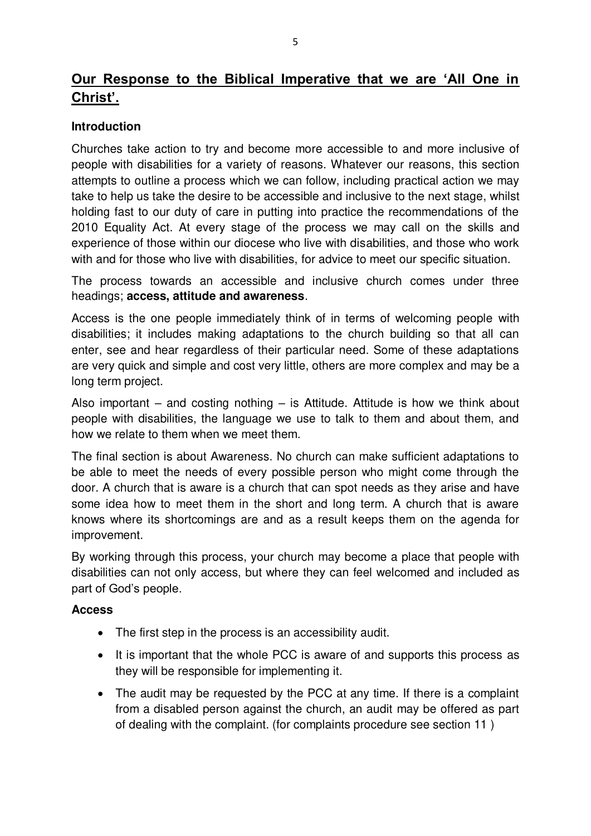# **Our Response to the Biblical Imperative that we are 'All One in Christ'.**

## **Introduction**

Churches take action to try and become more accessible to and more inclusive of people with disabilities for a variety of reasons. Whatever our reasons, this section attempts to outline a process which we can follow, including practical action we may take to help us take the desire to be accessible and inclusive to the next stage, whilst holding fast to our duty of care in putting into practice the recommendations of the 2010 Equality Act. At every stage of the process we may call on the skills and experience of those within our diocese who live with disabilities, and those who work with and for those who live with disabilities, for advice to meet our specific situation.

The process towards an accessible and inclusive church comes under three headings; **access, attitude and awareness**.

Access is the one people immediately think of in terms of welcoming people with disabilities; it includes making adaptations to the church building so that all can enter, see and hear regardless of their particular need. Some of these adaptations are very quick and simple and cost very little, others are more complex and may be a long term project.

Also important – and costing nothing – is Attitude. Attitude is how we think about people with disabilities, the language we use to talk to them and about them, and how we relate to them when we meet them.

The final section is about Awareness. No church can make sufficient adaptations to be able to meet the needs of every possible person who might come through the door. A church that is aware is a church that can spot needs as they arise and have some idea how to meet them in the short and long term. A church that is aware knows where its shortcomings are and as a result keeps them on the agenda for improvement.

By working through this process, your church may become a place that people with disabilities can not only access, but where they can feel welcomed and included as part of God's people.

## **Access**

- The first step in the process is an accessibility audit.
- It is important that the whole PCC is aware of and supports this process as they will be responsible for implementing it.
- The audit may be requested by the PCC at any time. If there is a complaint from a disabled person against the church, an audit may be offered as part of dealing with the complaint. (for complaints procedure see section 11 )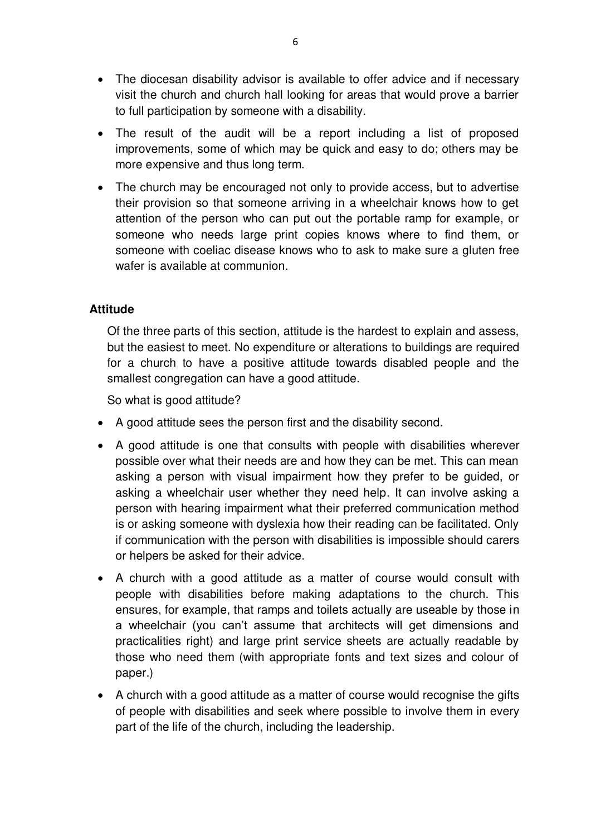- The diocesan disability advisor is available to offer advice and if necessary visit the church and church hall looking for areas that would prove a barrier to full participation by someone with a disability.
- The result of the audit will be a report including a list of proposed improvements, some of which may be quick and easy to do; others may be more expensive and thus long term.
- The church may be encouraged not only to provide access, but to advertise their provision so that someone arriving in a wheelchair knows how to get attention of the person who can put out the portable ramp for example, or someone who needs large print copies knows where to find them, or someone with coeliac disease knows who to ask to make sure a gluten free wafer is available at communion.

## **Attitude**

 Of the three parts of this section, attitude is the hardest to explain and assess, but the easiest to meet. No expenditure or alterations to buildings are required for a church to have a positive attitude towards disabled people and the smallest congregation can have a good attitude.

So what is good attitude?

- A good attitude sees the person first and the disability second.
- A good attitude is one that consults with people with disabilities wherever possible over what their needs are and how they can be met. This can mean asking a person with visual impairment how they prefer to be guided, or asking a wheelchair user whether they need help. It can involve asking a person with hearing impairment what their preferred communication method is or asking someone with dyslexia how their reading can be facilitated. Only if communication with the person with disabilities is impossible should carers or helpers be asked for their advice.
- A church with a good attitude as a matter of course would consult with people with disabilities before making adaptations to the church. This ensures, for example, that ramps and toilets actually are useable by those in a wheelchair (you can't assume that architects will get dimensions and practicalities right) and large print service sheets are actually readable by those who need them (with appropriate fonts and text sizes and colour of paper.)
- A church with a good attitude as a matter of course would recognise the gifts of people with disabilities and seek where possible to involve them in every part of the life of the church, including the leadership.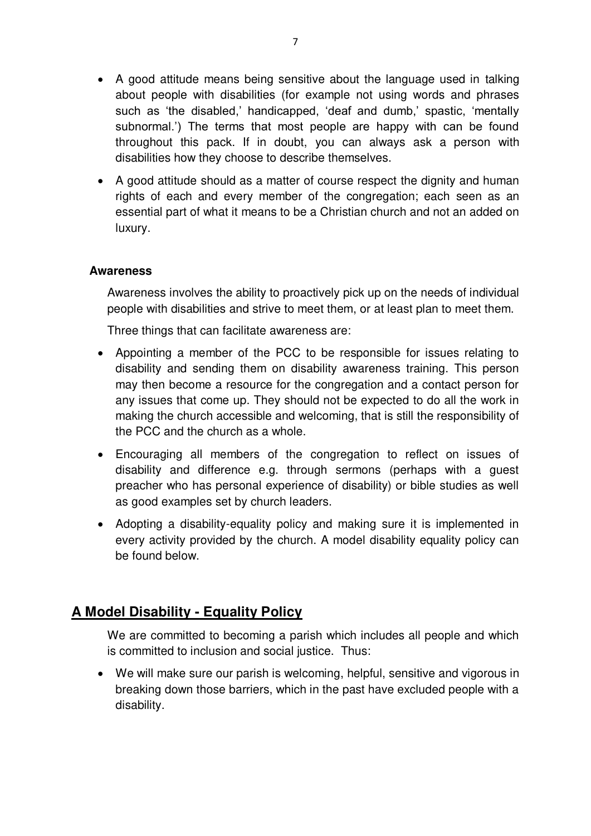- A good attitude means being sensitive about the language used in talking about people with disabilities (for example not using words and phrases such as 'the disabled,' handicapped, 'deaf and dumb,' spastic, 'mentally subnormal.') The terms that most people are happy with can be found throughout this pack. If in doubt, you can always ask a person with disabilities how they choose to describe themselves.
- A good attitude should as a matter of course respect the dignity and human rights of each and every member of the congregation; each seen as an essential part of what it means to be a Christian church and not an added on luxury.

#### **Awareness**

 Awareness involves the ability to proactively pick up on the needs of individual people with disabilities and strive to meet them, or at least plan to meet them.

Three things that can facilitate awareness are:

- Appointing a member of the PCC to be responsible for issues relating to disability and sending them on disability awareness training. This person may then become a resource for the congregation and a contact person for any issues that come up. They should not be expected to do all the work in making the church accessible and welcoming, that is still the responsibility of the PCC and the church as a whole.
- Encouraging all members of the congregation to reflect on issues of disability and difference e.g. through sermons (perhaps with a guest preacher who has personal experience of disability) or bible studies as well as good examples set by church leaders.
- Adopting a disability-equality policy and making sure it is implemented in every activity provided by the church. A model disability equality policy can be found below.

## **A Model Disability - Equality Policy**

 We are committed to becoming a parish which includes all people and which is committed to inclusion and social justice. Thus:

 We will make sure our parish is welcoming, helpful, sensitive and vigorous in breaking down those barriers, which in the past have excluded people with a disability.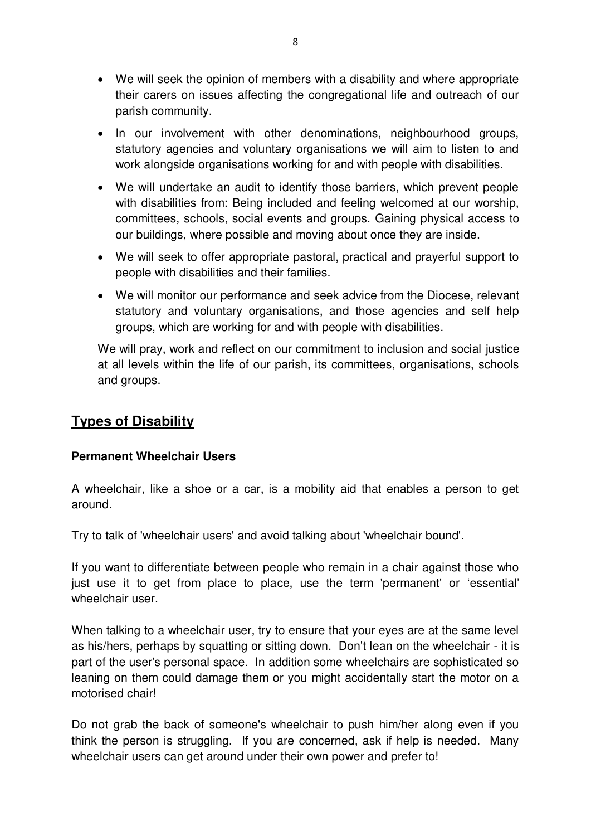- We will seek the opinion of members with a disability and where appropriate their carers on issues affecting the congregational life and outreach of our parish community.
- In our involvement with other denominations, neighbourhood groups, statutory agencies and voluntary organisations we will aim to listen to and work alongside organisations working for and with people with disabilities.
- We will undertake an audit to identify those barriers, which prevent people with disabilities from: Being included and feeling welcomed at our worship. committees, schools, social events and groups. Gaining physical access to our buildings, where possible and moving about once they are inside.
- We will seek to offer appropriate pastoral, practical and prayerful support to people with disabilities and their families.
- We will monitor our performance and seek advice from the Diocese, relevant statutory and voluntary organisations, and those agencies and self help groups, which are working for and with people with disabilities.

We will pray, work and reflect on our commitment to inclusion and social justice at all levels within the life of our parish, its committees, organisations, schools and groups.

## **Types of Disability**

## **Permanent Wheelchair Users**

A wheelchair, like a shoe or a car, is a mobility aid that enables a person to get around.

Try to talk of 'wheelchair users' and avoid talking about 'wheelchair bound'.

If you want to differentiate between people who remain in a chair against those who just use it to get from place to place, use the term 'permanent' or 'essential' wheelchair user.

When talking to a wheelchair user, try to ensure that your eyes are at the same level as his/hers, perhaps by squatting or sitting down. Don't lean on the wheelchair - it is part of the user's personal space. In addition some wheelchairs are sophisticated so leaning on them could damage them or you might accidentally start the motor on a motorised chair!

Do not grab the back of someone's wheelchair to push him/her along even if you think the person is struggling. If you are concerned, ask if help is needed. Many wheelchair users can get around under their own power and prefer to!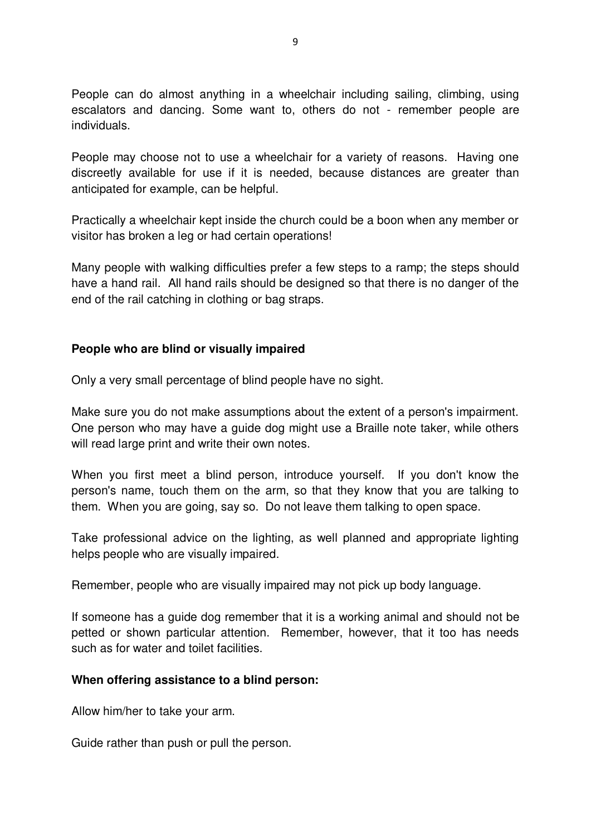People can do almost anything in a wheelchair including sailing, climbing, using escalators and dancing. Some want to, others do not - remember people are individuals.

People may choose not to use a wheelchair for a variety of reasons. Having one discreetly available for use if it is needed, because distances are greater than anticipated for example, can be helpful.

Practically a wheelchair kept inside the church could be a boon when any member or visitor has broken a leg or had certain operations!

Many people with walking difficulties prefer a few steps to a ramp; the steps should have a hand rail. All hand rails should be designed so that there is no danger of the end of the rail catching in clothing or bag straps.

## **People who are blind or visually impaired**

Only a very small percentage of blind people have no sight.

Make sure you do not make assumptions about the extent of a person's impairment. One person who may have a guide dog might use a Braille note taker, while others will read large print and write their own notes.

When you first meet a blind person, introduce yourself. If you don't know the person's name, touch them on the arm, so that they know that you are talking to them. When you are going, say so. Do not leave them talking to open space.

Take professional advice on the lighting, as well planned and appropriate lighting helps people who are visually impaired.

Remember, people who are visually impaired may not pick up body language.

If someone has a guide dog remember that it is a working animal and should not be petted or shown particular attention. Remember, however, that it too has needs such as for water and toilet facilities.

#### **When offering assistance to a blind person:**

Allow him/her to take your arm.

Guide rather than push or pull the person.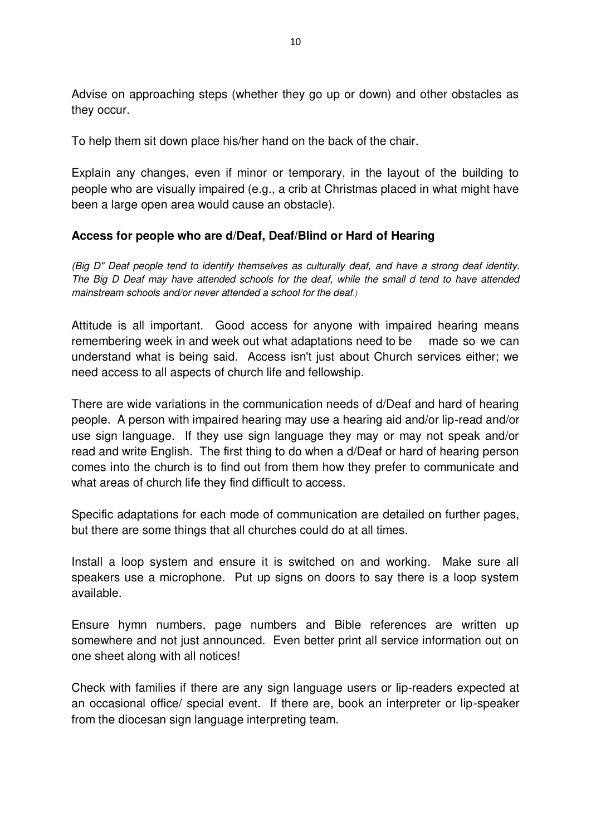Advise on approaching steps (whether they go up or down) and other obstacles as they occur.

To help them sit down place his/her hand on the back of the chair.

Explain any changes, even if minor or temporary, in the layout of the building to people who are visually impaired (e.g., a crib at Christmas placed in what might have been a large open area would cause an obstacle).

## **Access for people who are d/Deaf, Deaf/Blind or Hard of Hearing**

*(Big D" Deaf people tend to identify themselves as culturally deaf, and have a strong deaf identity. The Big D Deaf may have attended schools for the deaf, while the small d tend to have attended mainstream schools and/or never attended a school for the deaf.)*

Attitude is all important. Good access for anyone with impaired hearing means remembering week in and week out what adaptations need to be made so we can understand what is being said. Access isn't just about Church services either; we need access to all aspects of church life and fellowship.

There are wide variations in the communication needs of d/Deaf and hard of hearing people. A person with impaired hearing may use a hearing aid and/or lip-read and/or use sign language. If they use sign language they may or may not speak and/or read and write English. The first thing to do when a d/Deaf or hard of hearing person comes into the church is to find out from them how they prefer to communicate and what areas of church life they find difficult to access.

Specific adaptations for each mode of communication are detailed on further pages, but there are some things that all churches could do at all times.

Install a loop system and ensure it is switched on and working. Make sure all speakers use a microphone. Put up signs on doors to say there is a loop system available.

Ensure hymn numbers, page numbers and Bible references are written up somewhere and not just announced. Even better print all service information out on one sheet along with all notices!

Check with families if there are any sign language users or lip-readers expected at an occasional office/ special event. If there are, book an interpreter or lip-speaker from the diocesan sign language interpreting team.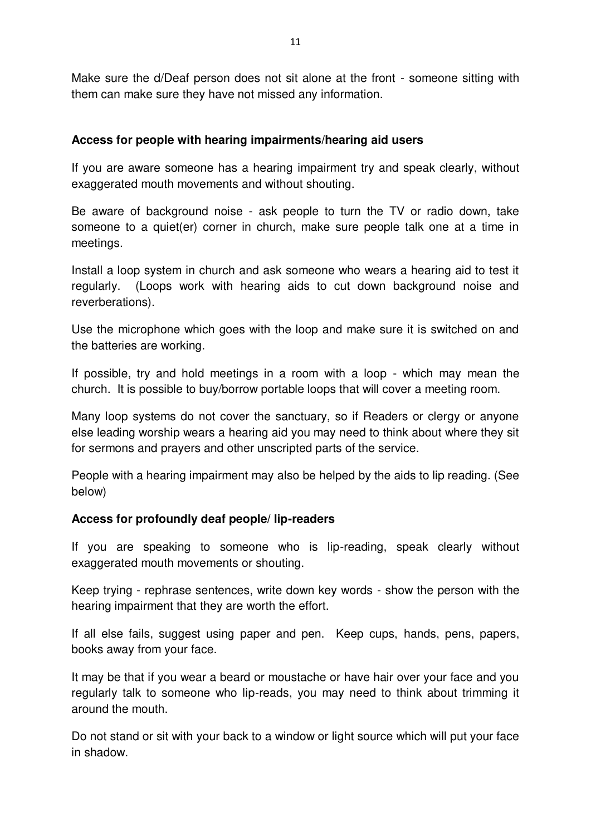Make sure the d/Deaf person does not sit alone at the front - someone sitting with them can make sure they have not missed any information.

#### **Access for people with hearing impairments/hearing aid users**

If you are aware someone has a hearing impairment try and speak clearly, without exaggerated mouth movements and without shouting.

Be aware of background noise - ask people to turn the TV or radio down, take someone to a quiet(er) corner in church, make sure people talk one at a time in meetings.

Install a loop system in church and ask someone who wears a hearing aid to test it regularly. (Loops work with hearing aids to cut down background noise and reverberations).

Use the microphone which goes with the loop and make sure it is switched on and the batteries are working.

If possible, try and hold meetings in a room with a loop - which may mean the church. It is possible to buy/borrow portable loops that will cover a meeting room.

Many loop systems do not cover the sanctuary, so if Readers or clergy or anyone else leading worship wears a hearing aid you may need to think about where they sit for sermons and prayers and other unscripted parts of the service.

People with a hearing impairment may also be helped by the aids to lip reading. (See below)

## **Access for profoundly deaf people/ lip-readers**

If you are speaking to someone who is lip-reading, speak clearly without exaggerated mouth movements or shouting.

Keep trying - rephrase sentences, write down key words - show the person with the hearing impairment that they are worth the effort.

If all else fails, suggest using paper and pen. Keep cups, hands, pens, papers, books away from your face.

It may be that if you wear a beard or moustache or have hair over your face and you regularly talk to someone who lip-reads, you may need to think about trimming it around the mouth.

Do not stand or sit with your back to a window or light source which will put your face in shadow.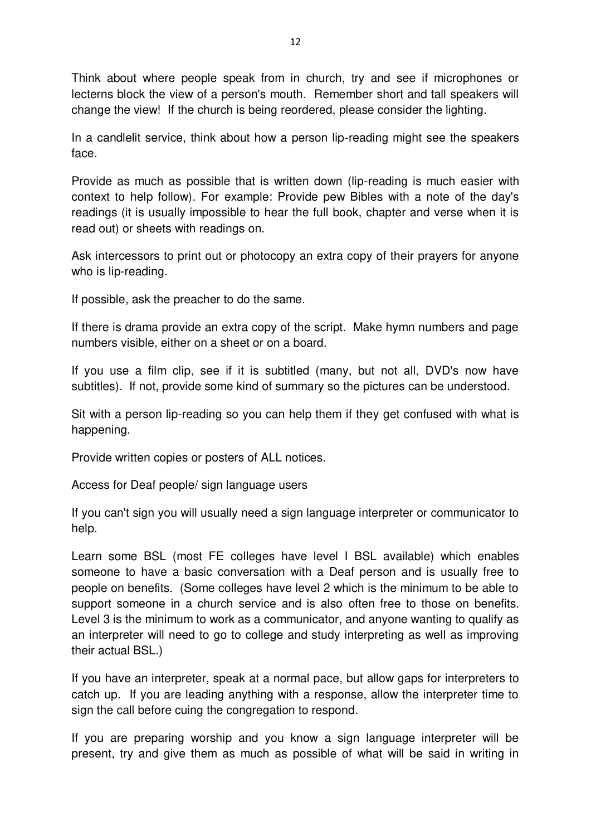Think about where people speak from in church, try and see if microphones or lecterns block the view of a person's mouth. Remember short and tall speakers will change the view! If the church is being reordered, please consider the lighting.

In a candlelit service, think about how a person lip-reading might see the speakers face.

Provide as much as possible that is written down (lip-reading is much easier with context to help follow). For example: Provide pew Bibles with a note of the day's readings (it is usually impossible to hear the full book, chapter and verse when it is read out) or sheets with readings on.

Ask intercessors to print out or photocopy an extra copy of their prayers for anyone who is lip-reading.

If possible, ask the preacher to do the same.

If there is drama provide an extra copy of the script. Make hymn numbers and page numbers visible, either on a sheet or on a board.

If you use a film clip, see if it is subtitled (many, but not all, DVD's now have subtitles). If not, provide some kind of summary so the pictures can be understood.

Sit with a person lip-reading so you can help them if they get confused with what is happening.

Provide written copies or posters of ALL notices.

Access for Deaf people/ sign language users

If you can't sign you will usually need a sign language interpreter or communicator to help.

Learn some BSL (most FE colleges have level I BSL available) which enables someone to have a basic conversation with a Deaf person and is usually free to people on benefits. (Some colleges have level 2 which is the minimum to be able to support someone in a church service and is also often free to those on benefits. Level 3 is the minimum to work as a communicator, and anyone wanting to qualify as an interpreter will need to go to college and study interpreting as well as improving their actual BSL.)

If you have an interpreter, speak at a normal pace, but allow gaps for interpreters to catch up. If you are leading anything with a response, allow the interpreter time to sign the call before cuing the congregation to respond.

If you are preparing worship and you know a sign language interpreter will be present, try and give them as much as possible of what will be said in writing in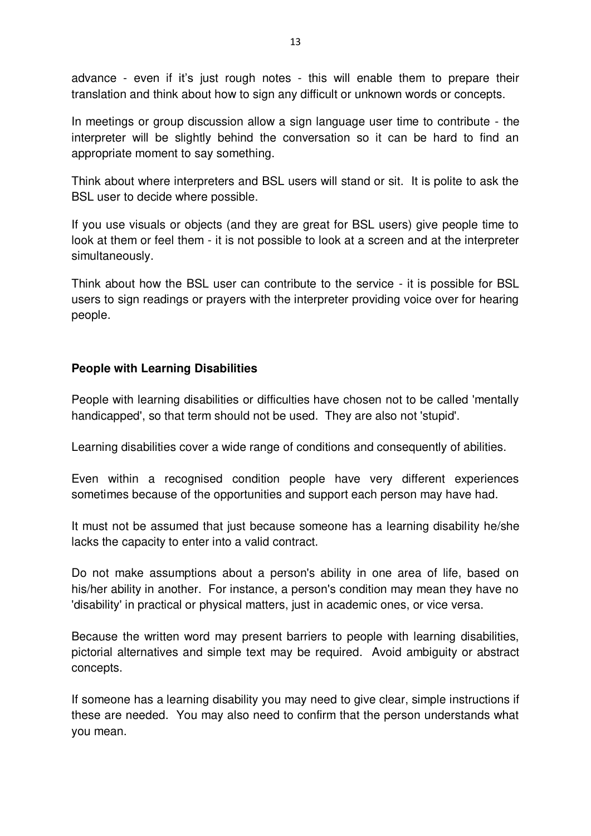advance - even if it's just rough notes - this will enable them to prepare their translation and think about how to sign any difficult or unknown words or concepts.

In meetings or group discussion allow a sign language user time to contribute - the interpreter will be slightly behind the conversation so it can be hard to find an appropriate moment to say something.

Think about where interpreters and BSL users will stand or sit. It is polite to ask the BSL user to decide where possible.

If you use visuals or objects (and they are great for BSL users) give people time to look at them or feel them - it is not possible to look at a screen and at the interpreter simultaneously.

Think about how the BSL user can contribute to the service - it is possible for BSL users to sign readings or prayers with the interpreter providing voice over for hearing people.

## **People with Learning Disabilities**

People with learning disabilities or difficulties have chosen not to be called 'mentally handicapped', so that term should not be used. They are also not 'stupid'.

Learning disabilities cover a wide range of conditions and consequently of abilities.

Even within a recognised condition people have very different experiences sometimes because of the opportunities and support each person may have had.

It must not be assumed that just because someone has a learning disability he/she lacks the capacity to enter into a valid contract.

Do not make assumptions about a person's ability in one area of life, based on his/her ability in another. For instance, a person's condition may mean they have no 'disability' in practical or physical matters, just in academic ones, or vice versa.

Because the written word may present barriers to people with learning disabilities, pictorial alternatives and simple text may be required. Avoid ambiguity or abstract concepts.

If someone has a learning disability you may need to give clear, simple instructions if these are needed. You may also need to confirm that the person understands what you mean.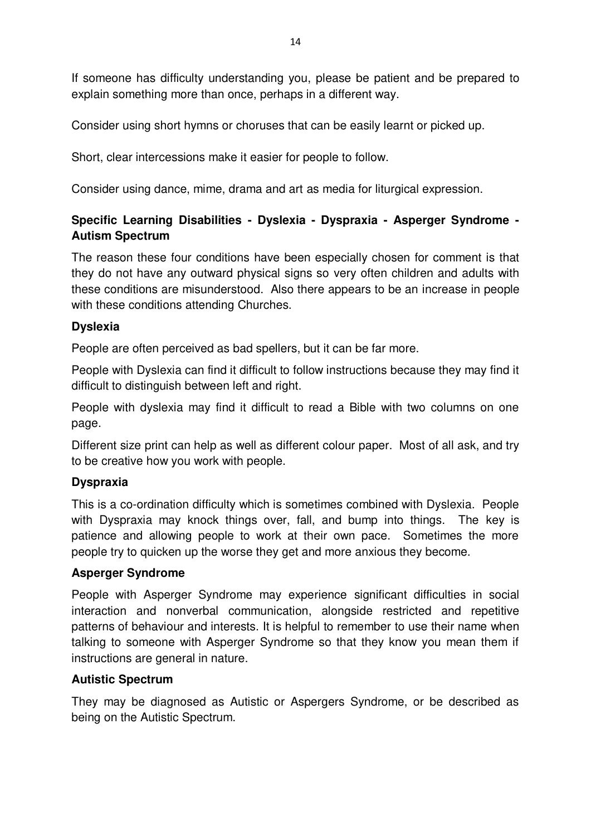If someone has difficulty understanding you, please be patient and be prepared to explain something more than once, perhaps in a different way.

Consider using short hymns or choruses that can be easily learnt or picked up.

Short, clear intercessions make it easier for people to follow.

Consider using dance, mime, drama and art as media for liturgical expression.

## **Specific Learning Disabilities - Dyslexia - Dyspraxia - Asperger Syndrome - Autism Spectrum**

The reason these four conditions have been especially chosen for comment is that they do not have any outward physical signs so very often children and adults with these conditions are misunderstood. Also there appears to be an increase in people with these conditions attending Churches.

## **Dyslexia**

People are often perceived as bad spellers, but it can be far more.

People with Dyslexia can find it difficult to follow instructions because they may find it difficult to distinguish between left and right.

People with dyslexia may find it difficult to read a Bible with two columns on one page.

Different size print can help as well as different colour paper. Most of all ask, and try to be creative how you work with people.

## **Dyspraxia**

This is a co-ordination difficulty which is sometimes combined with Dyslexia. People with Dyspraxia may knock things over, fall, and bump into things. The key is patience and allowing people to work at their own pace. Sometimes the more people try to quicken up the worse they get and more anxious they become.

## **Asperger Syndrome**

People with Asperger Syndrome may experience significant difficulties in social interaction and [nonverbal communication,](http://en.wikipedia.org/wiki/Nonverbal_communication) alongside restricted and repetitive patterns of behaviour and interests. It is helpful to remember to use their name when talking to someone with Asperger Syndrome so that they know you mean them if instructions are general in nature.

## **Autistic Spectrum**

They may be diagnosed as Autistic or Aspergers Syndrome, or be described as being on the Autistic Spectrum.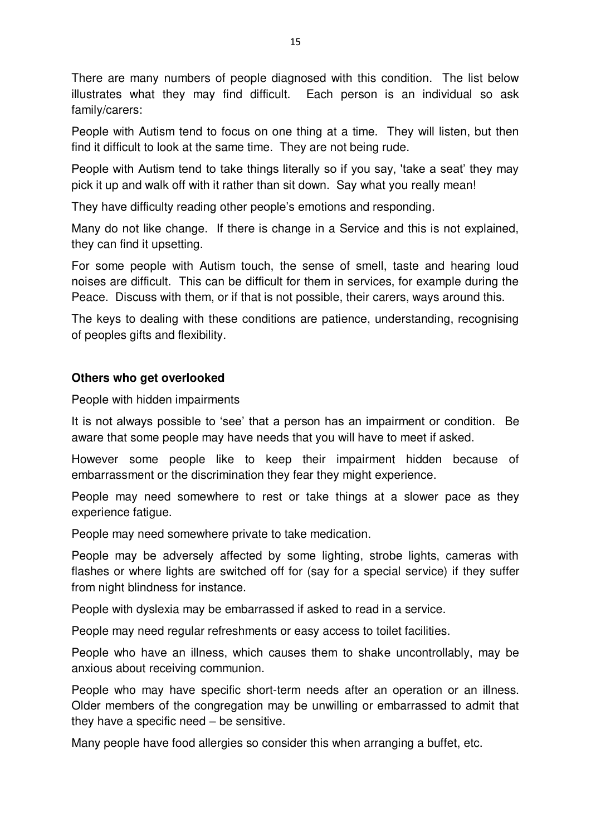There are many numbers of people diagnosed with this condition. The list below illustrates what they may find difficult. Each person is an individual so ask family/carers:

People with Autism tend to focus on one thing at a time. They will listen, but then find it difficult to look at the same time. They are not being rude.

People with Autism tend to take things literally so if you say, 'take a seat' they may pick it up and walk off with it rather than sit down. Say what you really mean!

They have difficulty reading other people's emotions and responding.

Many do not like change. If there is change in a Service and this is not explained, they can find it upsetting.

For some people with Autism touch, the sense of smell, taste and hearing loud noises are difficult. This can be difficult for them in services, for example during the Peace. Discuss with them, or if that is not possible, their carers, ways around this.

The keys to dealing with these conditions are patience, understanding, recognising of peoples gifts and flexibility.

## **Others who get overlooked**

People with hidden impairments

It is not always possible to 'see' that a person has an impairment or condition. Be aware that some people may have needs that you will have to meet if asked.

However some people like to keep their impairment hidden because of embarrassment or the discrimination they fear they might experience.

People may need somewhere to rest or take things at a slower pace as they experience fatigue.

People may need somewhere private to take medication.

People may be adversely affected by some lighting, strobe lights, cameras with flashes or where lights are switched off for (say for a special service) if they suffer from night blindness for instance.

People with dyslexia may be embarrassed if asked to read in a service.

People may need regular refreshments or easy access to toilet facilities.

People who have an illness, which causes them to shake uncontrollably, may be anxious about receiving communion.

People who may have specific short-term needs after an operation or an illness. Older members of the congregation may be unwilling or embarrassed to admit that they have a specific need – be sensitive.

Many people have food allergies so consider this when arranging a buffet, etc.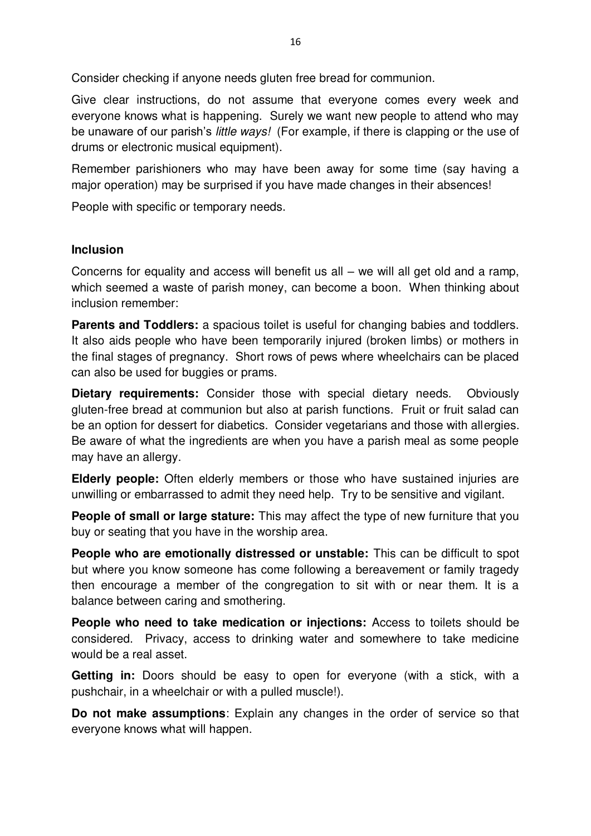Consider checking if anyone needs gluten free bread for communion.

Give clear instructions, do not assume that everyone comes every week and everyone knows what is happening. Surely we want new people to attend who may be unaware of our parish's *little ways!* (For example, if there is clapping or the use of drums or electronic musical equipment).

Remember parishioners who may have been away for some time (say having a major operation) may be surprised if you have made changes in their absences!

People with specific or temporary needs.

#### **Inclusion**

Concerns for equality and access will benefit us all – we will all get old and a ramp, which seemed a waste of parish money, can become a boon. When thinking about inclusion remember:

**Parents and Toddlers:** a spacious toilet is useful for changing babies and toddlers. It also aids people who have been temporarily injured (broken limbs) or mothers in the final stages of pregnancy. Short rows of pews where wheelchairs can be placed can also be used for buggies or prams.

**Dietary requirements:** Consider those with special dietary needs. Obviously gluten-free bread at communion but also at parish functions. Fruit or fruit salad can be an option for dessert for diabetics. Consider vegetarians and those with allergies. Be aware of what the ingredients are when you have a parish meal as some people may have an allergy.

**Elderly people:** Often elderly members or those who have sustained injuries are unwilling or embarrassed to admit they need help. Try to be sensitive and vigilant.

**People of small or large stature:** This may affect the type of new furniture that you buy or seating that you have in the worship area.

**People who are emotionally distressed or unstable:** This can be difficult to spot but where you know someone has come following a bereavement or family tragedy then encourage a member of the congregation to sit with or near them. It is a balance between caring and smothering.

**People who need to take medication or injections:** Access to toilets should be considered. Privacy, access to drinking water and somewhere to take medicine would be a real asset.

**Getting in:** Doors should be easy to open for everyone (with a stick, with a pushchair, in a wheelchair or with a pulled muscle!).

**Do not make assumptions**: Explain any changes in the order of service so that everyone knows what will happen.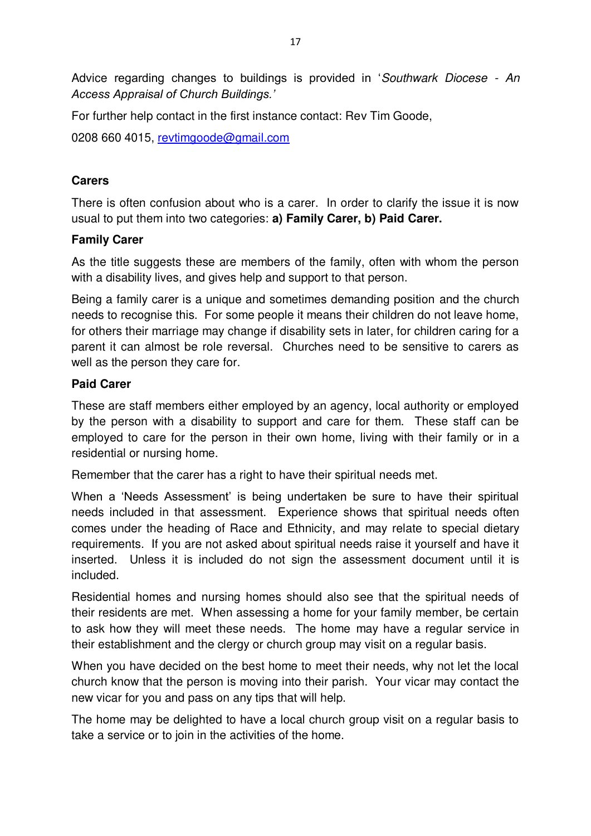Advice regarding changes to buildings is provided in '*Southwark Diocese - An Access Appraisal of Church Buildings.'*

For further help contact in the first instance contact: Rev Tim Goode,

0208 660 4015, [revtimgoode@gmail.com](mailto:revtimgoode@gmail.com)

## **Carers**

There is often confusion about who is a carer. In order to clarify the issue it is now usual to put them into two categories: **a) Family Carer, b) Paid Carer.** 

## **Family Carer**

As the title suggests these are members of the family, often with whom the person with a disability lives, and gives help and support to that person.

Being a family carer is a unique and sometimes demanding position and the church needs to recognise this. For some people it means their children do not leave home, for others their marriage may change if disability sets in later, for children caring for a parent it can almost be role reversal. Churches need to be sensitive to carers as well as the person they care for.

## **Paid Carer**

These are staff members either employed by an agency, local authority or employed by the person with a disability to support and care for them. These staff can be employed to care for the person in their own home, living with their family or in a residential or nursing home.

Remember that the carer has a right to have their spiritual needs met.

When a 'Needs Assessment' is being undertaken be sure to have their spiritual needs included in that assessment. Experience shows that spiritual needs often comes under the heading of Race and Ethnicity, and may relate to special dietary requirements. If you are not asked about spiritual needs raise it yourself and have it inserted. Unless it is included do not sign the assessment document until it is included.

Residential homes and nursing homes should also see that the spiritual needs of their residents are met. When assessing a home for your family member, be certain to ask how they will meet these needs. The home may have a regular service in their establishment and the clergy or church group may visit on a regular basis.

When you have decided on the best home to meet their needs, why not let the local church know that the person is moving into their parish. Your vicar may contact the new vicar for you and pass on any tips that will help.

The home may be delighted to have a local church group visit on a regular basis to take a service or to join in the activities of the home.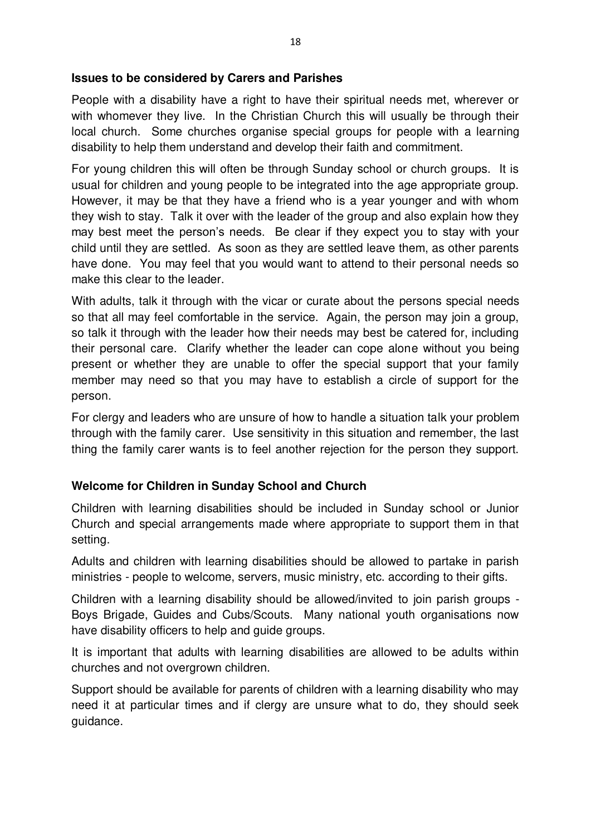#### **Issues to be considered by Carers and Parishes**

People with a disability have a right to have their spiritual needs met, wherever or with whomever they live. In the Christian Church this will usually be through their local church. Some churches organise special groups for people with a learning disability to help them understand and develop their faith and commitment.

For young children this will often be through Sunday school or church groups. It is usual for children and young people to be integrated into the age appropriate group. However, it may be that they have a friend who is a year younger and with whom they wish to stay. Talk it over with the leader of the group and also explain how they may best meet the person's needs. Be clear if they expect you to stay with your child until they are settled. As soon as they are settled leave them, as other parents have done. You may feel that you would want to attend to their personal needs so make this clear to the leader.

With adults, talk it through with the vicar or curate about the persons special needs so that all may feel comfortable in the service. Again, the person may join a group, so talk it through with the leader how their needs may best be catered for, including their personal care. Clarify whether the leader can cope alone without you being present or whether they are unable to offer the special support that your family member may need so that you may have to establish a circle of support for the person.

For clergy and leaders who are unsure of how to handle a situation talk your problem through with the family carer. Use sensitivity in this situation and remember, the last thing the family carer wants is to feel another rejection for the person they support.

## **Welcome for Children in Sunday School and Church**

Children with learning disabilities should be included in Sunday school or Junior Church and special arrangements made where appropriate to support them in that setting.

Adults and children with learning disabilities should be allowed to partake in parish ministries - people to welcome, servers, music ministry, etc. according to their gifts.

Children with a learning disability should be allowed/invited to join parish groups - Boys Brigade, Guides and Cubs/Scouts. Many national youth organisations now have disability officers to help and guide groups.

It is important that adults with learning disabilities are allowed to be adults within churches and not overgrown children.

Support should be available for parents of children with a learning disability who may need it at particular times and if clergy are unsure what to do, they should seek guidance.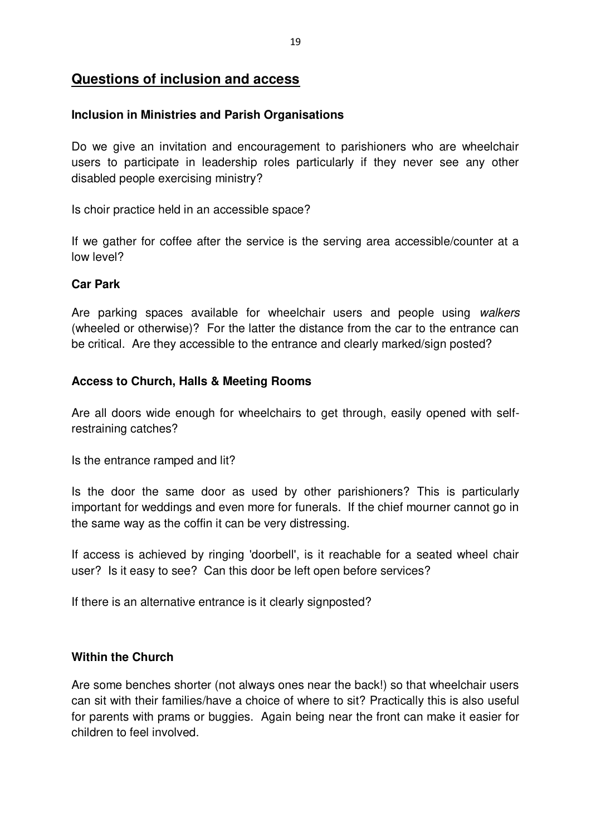## **Questions of inclusion and access**

#### **Inclusion in Ministries and Parish Organisations**

Do we give an invitation and encouragement to parishioners who are wheelchair users to participate in leadership roles particularly if they never see any other disabled people exercising ministry?

Is choir practice held in an accessible space?

If we gather for coffee after the service is the serving area accessible/counter at a low level?

## **Car Park**

Are parking spaces available for wheelchair users and people using *walkers* (wheeled or otherwise)? For the latter the distance from the car to the entrance can be critical. Are they accessible to the entrance and clearly marked/sign posted?

## **Access to Church, Halls & Meeting Rooms**

Are all doors wide enough for wheelchairs to get through, easily opened with selfrestraining catches?

Is the entrance ramped and lit?

Is the door the same door as used by other parishioners? This is particularly important for weddings and even more for funerals. If the chief mourner cannot go in the same way as the coffin it can be very distressing.

If access is achieved by ringing 'doorbell', is it reachable for a seated wheel chair user? Is it easy to see? Can this door be left open before services?

If there is an alternative entrance is it clearly signposted?

## **Within the Church**

Are some benches shorter (not always ones near the back!) so that wheelchair users can sit with their families/have a choice of where to sit? Practically this is also useful for parents with prams or buggies. Again being near the front can make it easier for children to feel involved.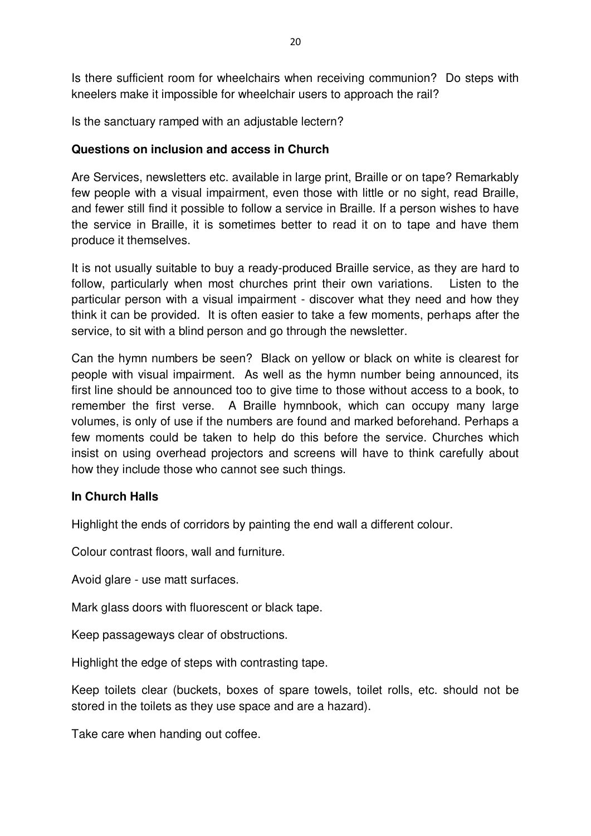Is there sufficient room for wheelchairs when receiving communion? Do steps with kneelers make it impossible for wheelchair users to approach the rail?

Is the sanctuary ramped with an adjustable lectern?

#### **Questions on inclusion and access in Church**

Are Services, newsletters etc. available in large print, Braille or on tape? Remarkably few people with a visual impairment, even those with little or no sight, read Braille, and fewer still find it possible to follow a service in Braille. If a person wishes to have the service in Braille, it is sometimes better to read it on to tape and have them produce it themselves.

It is not usually suitable to buy a ready-produced Braille service, as they are hard to follow, particularly when most churches print their own variations. Listen to the particular person with a visual impairment - discover what they need and how they think it can be provided. It is often easier to take a few moments, perhaps after the service, to sit with a blind person and go through the newsletter.

Can the hymn numbers be seen? Black on yellow or black on white is clearest for people with visual impairment. As well as the hymn number being announced, its first line should be announced too to give time to those without access to a book, to remember the first verse. A Braille hymnbook, which can occupy many large volumes, is only of use if the numbers are found and marked beforehand. Perhaps a few moments could be taken to help do this before the service. Churches which insist on using overhead projectors and screens will have to think carefully about how they include those who cannot see such things.

#### **In Church Halls**

Highlight the ends of corridors by painting the end wall a different colour.

Colour contrast floors, wall and furniture.

Avoid glare - use matt surfaces.

Mark glass doors with fluorescent or black tape.

Keep passageways clear of obstructions.

Highlight the edge of steps with contrasting tape.

Keep toilets clear (buckets, boxes of spare towels, toilet rolls, etc. should not be stored in the toilets as they use space and are a hazard).

Take care when handing out coffee.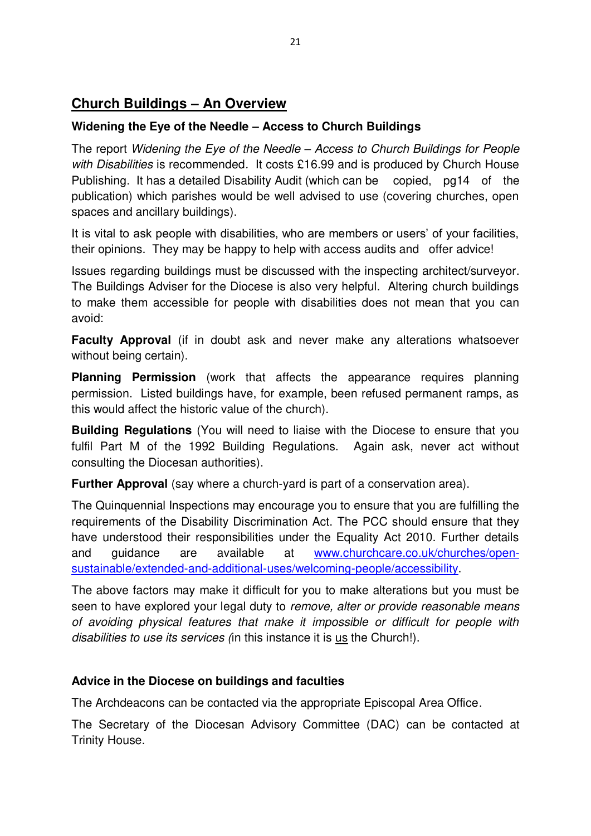# **Church Buildings – An Overview**

## **Widening the Eye of the Needle – Access to Church Buildings**

The report *Widening the Eye of the Needle – Access to Church Buildings for People with Disabilities* is recommended*.* It costs £16.99 and is produced by Church House Publishing. It has a detailed Disability Audit (which can be copied, pg14 of the publication) which parishes would be well advised to use (covering churches, open spaces and ancillary buildings).

It is vital to ask people with disabilities, who are members or users' of your facilities, their opinions. They may be happy to help with access audits and offer advice!

Issues regarding buildings must be discussed with the inspecting architect/surveyor. The Buildings Adviser for the Diocese is also very helpful. Altering church buildings to make them accessible for people with disabilities does not mean that you can avoid:

**Faculty Approval** (if in doubt ask and never make any alterations whatsoever without being certain).

**Planning Permission** (work that affects the appearance requires planning permission. Listed buildings have, for example, been refused permanent ramps, as this would affect the historic value of the church).

**Building Regulations** (You will need to liaise with the Diocese to ensure that you fulfil Part M of the 1992 Building Regulations. Again ask, never act without consulting the Diocesan authorities).

**Further Approval** (say where a church-yard is part of a conservation area).

The Quinquennial Inspections may encourage you to ensure that you are fulfilling the requirements of the Disability Discrimination Act. The PCC should ensure that they have understood their responsibilities under the Equality Act 2010. Further details and guidance are available at [www.churchcare.co.uk/churches/open](http://www.google.com/url?q=http%3A%2F%2Fwww.churchcare.co.uk%2Fchurches%2Fopen-sustainable%2Fextended-and-additional-uses%2Fwelcoming-people%2Faccessibility&sa=D&sntz=1&usg=AFQjCNHDFnCRdEpV3APXpEKWI5mlwdY2VQ)[sustainable/extended-and-additional-uses/welcoming-people/accessibility.](http://www.google.com/url?q=http%3A%2F%2Fwww.churchcare.co.uk%2Fchurches%2Fopen-sustainable%2Fextended-and-additional-uses%2Fwelcoming-people%2Faccessibility&sa=D&sntz=1&usg=AFQjCNHDFnCRdEpV3APXpEKWI5mlwdY2VQ)

The above factors may make it difficult for you to make alterations but you must be seen to have explored your legal duty to *remove, alter or provide reasonable means of avoiding physical features that make it impossible or difficult for people with disabilities to use its services (*in this instance it is us the Church!).

## **Advice in the Diocese on buildings and faculties**

The Archdeacons can be contacted via the appropriate Episcopal Area Office.

The Secretary of the Diocesan Advisory Committee (DAC) can be contacted at Trinity House.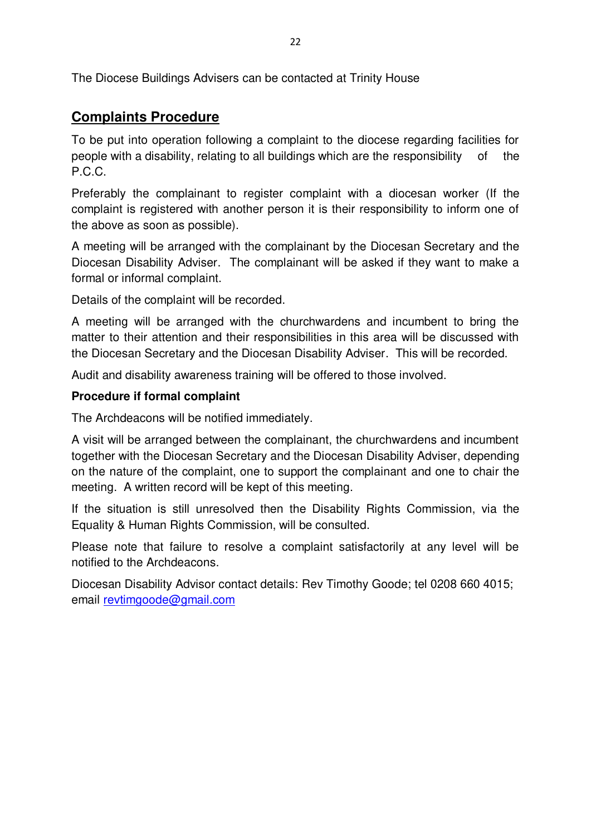The Diocese Buildings Advisers can be contacted at Trinity House

# **Complaints Procedure**

To be put into operation following a complaint to the diocese regarding facilities for people with a disability, relating to all buildings which are the responsibility of the P.C.C.

Preferably the complainant to register complaint with a diocesan worker (If the complaint is registered with another person it is their responsibility to inform one of the above as soon as possible).

A meeting will be arranged with the complainant by the Diocesan Secretary and the Diocesan Disability Adviser. The complainant will be asked if they want to make a formal or informal complaint.

Details of the complaint will be recorded.

A meeting will be arranged with the churchwardens and incumbent to bring the matter to their attention and their responsibilities in this area will be discussed with the Diocesan Secretary and the Diocesan Disability Adviser. This will be recorded.

Audit and disability awareness training will be offered to those involved.

## **Procedure if formal complaint**

The Archdeacons will be notified immediately.

A visit will be arranged between the complainant, the churchwardens and incumbent together with the Diocesan Secretary and the Diocesan Disability Adviser, depending on the nature of the complaint, one to support the complainant and one to chair the meeting. A written record will be kept of this meeting.

If the situation is still unresolved then the Disability Rights Commission, via the Equality & Human Rights Commission, will be consulted.

Please note that failure to resolve a complaint satisfactorily at any level will be notified to the Archdeacons.

Diocesan Disability Advisor contact details: Rev Timothy Goode; tel 0208 660 4015; email [revtimgoode@gmail.com](mailto:revtimgoode@gmail.com)